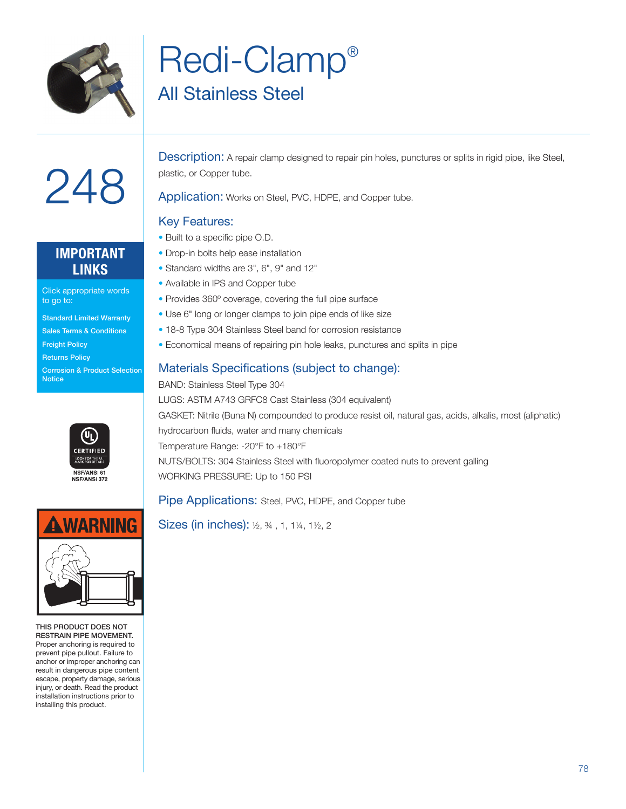

### Redi-Clamp® All Stainless Steel

# 248

#### **IMPORTANT LINKS**

Click appropriate words to go to:

- Standard Limited Warranty
- Sales Terms & Conditions
- Freight Policy
- Returns Policy
- Corrosion & Product Selection **Notice**





THIS PRODUCT DOES NOT RESTRAIN PIPE MOVEMENT. Proper anchoring is required to prevent pipe pullout. Failure to anchor or improper anchoring can result in dangerous pipe content escape, property damage, serious injury, or death. Read the product installation instructions prior to installing this product.

Description: A repair clamp designed to repair pin holes, punctures or splits in rigid pipe, like Steel, plastic, or Copper tube.

Application: Works on Steel, PVC, HDPE, and Copper tube.

#### Key Features:

- Built to a specific pipe O.D.
- Drop-in bolts help ease installation
- Standard widths are 3", 6", 9" and 12"
- Available in IPS and Copper tube
- Provides 360º coverage, covering the full pipe surface
- Use 6" long or longer clamps to join pipe ends of like size
- 18-8 Type 304 Stainless Steel band for corrosion resistance
- Economical means of repairing pin hole leaks, punctures and splits in pipe

#### Materials Specifications (subject to change):

BAND: Stainless Steel Type 304 LUGS: ASTM A743 GRFC8 Cast Stainless (304 equivalent) GASKET: Nitrile (Buna N) compounded to produce resist oil, natural gas, acids, alkalis, most (aliphatic) hydrocarbon fluids, water and many chemicals Temperature Range: -20°F to +180°F NUTS/BOLTS: 304 Stainless Steel with fluoropolymer coated nuts to prevent galling WORKING PRESSURE: Up to 150 PSI

#### Pipe Applications: Steel, PVC, HDPE, and Copper tube

Sizes (in inches): ½, ¾ , 1, 1¼, 1½, 2